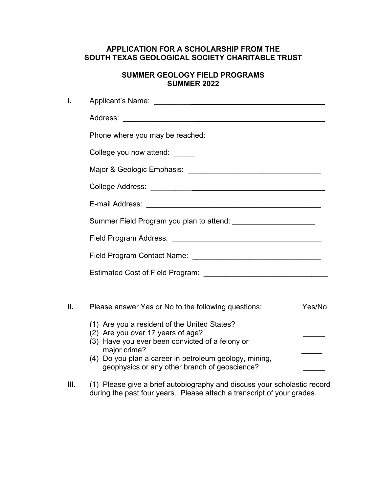## **APPLICATION FOR A SCHOLARSHIP FROM THE SOUTH TEXAS GEOLOGICAL SOCIETY CHARITABLE TRUST**

## **SUMMER GEOLOGY FIELD PROGRAMS SUMMER 2022**

| I. |                                                                                                                                      |        |
|----|--------------------------------------------------------------------------------------------------------------------------------------|--------|
|    |                                                                                                                                      |        |
|    |                                                                                                                                      |        |
|    |                                                                                                                                      |        |
|    |                                                                                                                                      |        |
|    |                                                                                                                                      |        |
|    |                                                                                                                                      |        |
|    |                                                                                                                                      |        |
|    |                                                                                                                                      |        |
|    |                                                                                                                                      |        |
|    |                                                                                                                                      |        |
|    |                                                                                                                                      |        |
| Ш. | Please answer Yes or No to the following questions:                                                                                  | Yes/No |
|    | (1) Are you a resident of the United States?<br>(2) Are you over 17 years of age?<br>(3) Have you ever been convicted of a felony or |        |
|    | major crime?<br>(4) Do you plan a career in petroleum geology, mining,<br>geophysics or any other branch of geoscience?              |        |
|    |                                                                                                                                      |        |

**III.** (1) Please give a brief autobiography and discuss your scholastic record during the past four years. Please attach a transcript of your grades.